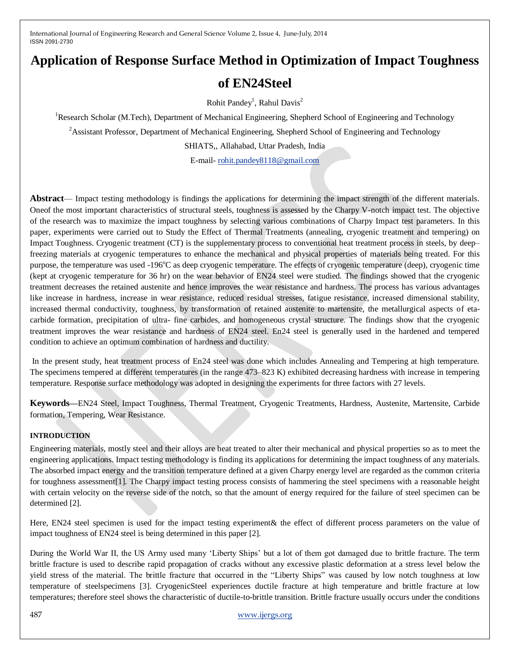# **Application of Response Surface Method in Optimization of Impact Toughness of EN24Steel**

Rohit Pandey<sup>1</sup>, Rahul Davis<sup>2</sup>

<sup>1</sup>Research Scholar (M.Tech), Department of Mechanical Engineering, Shepherd School of Engineering and Technology

<sup>2</sup>Assistant Professor, Department of Mechanical Engineering, Shepherd School of Engineering and Technology

SHIATS,, Allahabad, Uttar Pradesh, India

E-mail- [rohit.pandey8118@gmail.com](mailto:rohit.pandey8118@gmail.com)

**Abstract**— Impact testing methodology is findings the applications for determining the impact strength of the different materials. Oneof the most important characteristics of structural steels, toughness is assessed by the Charpy V-notch impact test. The objective of the research was to maximize the impact toughness by selecting various combinations of Charpy Impact test parameters. In this paper, experiments were carried out to Study the Effect of Thermal Treatments (annealing, cryogenic treatment and tempering) on Impact Toughness. Cryogenic treatment (CT) is the supplementary process to conventional heat treatment process in steels, by deep– freezing materials at cryogenic temperatures to enhance the mechanical and physical properties of materials being treated. For this purpose, the temperature was used  $-196^{\circ}$ C as deep cryogenic temperature. The effects of cryogenic temperature (deep), cryogenic time (kept at cryogenic temperature for 36 hr) on the wear behavior of EN24 steel were studied. The findings showed that the cryogenic treatment decreases the retained austenite and hence improves the wear resistance and hardness. The process has various advantages like increase in hardness, increase in wear resistance, reduced residual stresses, fatigue resistance, increased dimensional stability, increased thermal conductivity, toughness, by transformation of retained austenite to martensite, the metallurgical aspects of etacarbide formation, precipitation of ultra- fine carbides, and homogeneous crystal structure. The findings show that the cryogenic treatment improves the wear resistance and hardness of EN24 steel. En24 steel is generally used in the hardened and tempered condition to achieve an optimum combination of hardness and ductility.

In the present study, heat treatment process of En24 steel was done which includes Annealing and Tempering at high temperature. The specimens tempered at different temperatures (in the range 473–823 K) exhibited decreasing hardness with increase in tempering temperature. Response surface methodology was adopted in designing the experiments for three factors with 27 levels.

**Keywords—**EN24 Steel, Impact Toughness, Thermal Treatment, Cryogenic Treatments, Hardness, Austenite, Martensite, Carbide formation, Tempering, Wear Resistance.

## **INTRODUCTION**

Engineering materials, mostly steel and their alloys are heat treated to alter their mechanical and physical properties so as to meet the engineering applications. Impact testing methodology is finding its applications for determining the impact toughness of any materials. The absorbed impact energy and the transition temperature defined at a given Charpy energy level are regarded as the common criteria for toughness assessment[1]. The Charpy impact testing process consists of hammering the steel specimens with a reasonable height with certain velocity on the reverse side of the notch, so that the amount of energy required for the failure of steel specimen can be determined [2].

Here, EN24 steel specimen is used for the impact testing experiment& the effect of different process parameters on the value of impact toughness of EN24 steel is being determined in this paper [2].

During the World War II, the US Army used many 'Liberty Ships' but a lot of them got damaged due to brittle fracture. The term brittle fracture is used to describe rapid propagation of cracks without any excessive plastic deformation at a stress level below the yield stress of the material. The brittle fracture that occurred in the "Liberty Ships" was caused by low notch toughness at low temperature of steelspecimens [3]. CryogenicSteel experiences ductile fracture at high temperature and brittle fracture at low temperatures; therefore steel shows the characteristic of ductile-to-brittle transition. Brittle fracture usually occurs under the conditions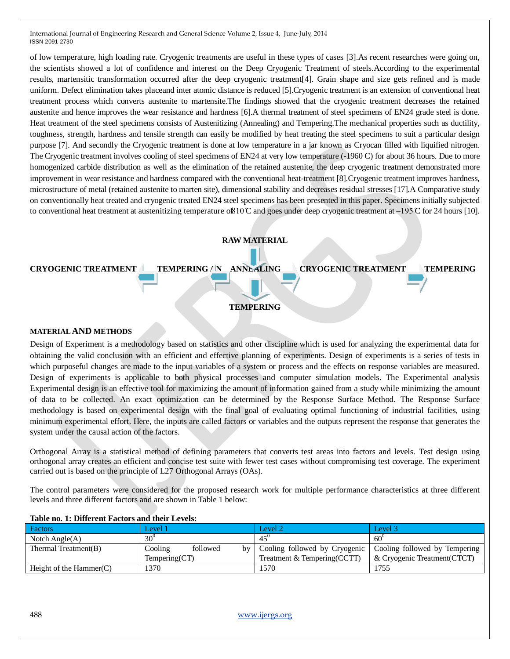of low temperature, high loading rate. Cryogenic treatments are useful in these types of cases [3].As recent researches were going on, the scientists showed a lot of confidence and interest on the Deep Cryogenic Treatment of steels.According to the experimental results, martensitic transformation occurred after the deep cryogenic treatment[4]. Grain shape and size gets refined and is made uniform. Defect elimination takes placeand inter atomic distance is reduced [5].Cryogenic treatment is an extension of conventional heat treatment process which converts austenite to martensite.The findings showed that the cryogenic treatment decreases the retained austenite and hence improves the wear resistance and hardness [6].A thermal treatment of steel specimens of EN24 grade steel is done. Heat treatment of the steel specimens consists of Austenitizing (Annealing) and Tempering.The mechanical properties such as ductility, toughness, strength, hardness and tensile strength can easily be modified by heat treating the steel specimens to suit a particular design purpose [7]. And secondly the Cryogenic treatment is done at low temperature in a jar known as Cryocan filled with liquified nitrogen. The Cryogenic treatment involves cooling of steel specimens of EN24 at very low temperature (-1960 C) for about 36 hours. Due to more homogenized carbide distribution as well as the elimination of the retained austenite, the deep cryogenic treatment demonstrated more improvement in wear resistance and hardness compared with the conventional heat-treatment [8].Cryogenic treatment improves hardness, microstructure of metal (retained austenite to marten site), dimensional stability and decreases residual stresses [17].A Comparative study on conventionally heat treated and cryogenic treated EN24 steel specimens has been presented in this paper. Specimens initially subjected to conventional heat treatment at austenitizing temperature of  $10^\circ$ C and goes under deep cryogenic treatment at  $-195^\circ$ C for 24 hours [10].



#### **MATERIAL AND METHODS**

Design of Experiment is a methodology based on statistics and other discipline which is used for analyzing the experimental data for obtaining the valid conclusion with an efficient and effective planning of experiments. Design of experiments is a series of tests in which purposeful changes are made to the input variables of a system or process and the effects on response variables are measured. Design of experiments is applicable to both physical processes and computer simulation models. The Experimental analysis Experimental design is an effective tool for maximizing the amount of information gained from a study while minimizing the amount of data to be collected. An exact optimization can be determined by the Response Surface Method. The Response Surface methodology is based on experimental design with the final goal of evaluating optimal functioning of industrial facilities, using minimum experimental effort. Here, the inputs are called factors or variables and the outputs represent the response that generates the system under the causal action of the factors.

Orthogonal Array is a statistical method of defining parameters that converts test areas into factors and levels. Test design using orthogonal array creates an efficient and concise test suite with fewer test cases without compromising test coverage. The experiment carried out is based on the principle of L27 Orthogonal Arrays (OAs).

The control parameters were considered for the proposed research work for multiple performance characteristics at three different levels and three different factors and are shown in Table 1 below:

| Factors                    | Level 1         |          |               | Level 2                       | Level 3                       |
|----------------------------|-----------------|----------|---------------|-------------------------------|-------------------------------|
| Notch Angle $(A)$          | $30^0$          |          |               | $45^\circ$                    | $60^{\circ}$                  |
| Thermal Treatment $(B)$    | Cooling         | followed | <sub>bv</sub> | Cooling followed by Cryogenic | Cooling followed by Tempering |
|                            | Temperature(CT) |          |               | Treatment & Tempering (CCTT)  | & Cryogenic Treatment (CTCT)  |
| Height of the Hammer $(C)$ | 1370            |          |               | .570                          | 1755                          |

#### **Table no. 1: Different Factors and their Levels:**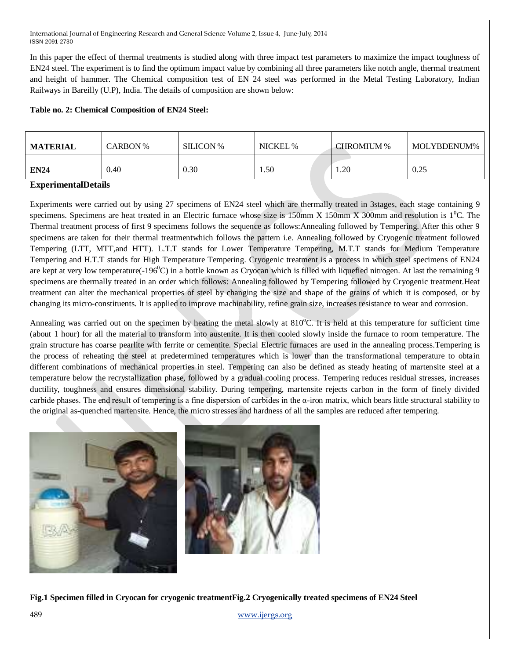In this paper the effect of thermal treatments is studied along with three impact test parameters to maximize the impact toughness of EN24 steel. The experiment is to find the optimum impact value by combining all three parameters like notch angle, thermal treatment and height of hammer. The Chemical composition test of EN 24 steel was performed in the Metal Testing Laboratory, Indian Railways in Bareilly (U.P), India. The details of composition are shown below:

# **Table no. 2: Chemical Composition of EN24 Steel:**

| <b>MATERIAL</b>                              | CARBON % | <b>SILICON</b> % | NICKEL % | <b>CHROMIUM %</b> | MOLYBDENUM% |
|----------------------------------------------|----------|------------------|----------|-------------------|-------------|
| <b>EN24</b>                                  | 0.40     | 0.30             | . .50    | 1.20              | 0.25        |
| $\sim$ $\sim$ $\sim$ $\sim$ $\sim$<br>$\sim$ |          |                  |          |                   |             |

## **ExperimentalDetails**

Experiments were carried out by using 27 specimens of EN24 steel which are thermally treated in 3stages, each stage containing 9 specimens. Specimens are heat treated in an Electric furnace whose size is 150mm X 150mm X 300mm and resolution is  $1^{\circ}$ C. The Thermal treatment process of first 9 specimens follows the sequence as follows:Annealing followed by Tempering. After this other 9 specimens are taken for their thermal treatmentwhich follows the pattern i.e. Annealing followed by Cryogenic treatment followed Tempering (LTT, MTT,and HTT). L.T.T stands for Lower Temperature Tempering, M.T.T stands for Medium Temperature Tempering and H.T.T stands for High Temperature Tempering. Cryogenic treatment is a process in which steel specimens of EN24 are kept at very low temperature( $-196^{\circ}$ C) in a bottle known as Cryocan which is filled with liquefied nitrogen. At last the remaining 9 specimens are thermally treated in an order which follows: Annealing followed by Tempering followed by Cryogenic treatment.Heat treatment can alter the mechanical properties of steel by changing the size and shape of the grains of which it is composed, or by changing its micro-constituents. It is applied to improve machinability, refine grain size, increases resistance to wear and corrosion.

Annealing was carried out on the specimen by heating the metal slowly at 810°C. It is held at this temperature for sufficient time (about 1 hour) for all the material to transform into austenite. It is then cooled slowly inside the furnace to room temperature. The grain structure has coarse pearlite with ferrite or cementite. Special Electric furnaces are used in the annealing process.Tempering is the process of reheating the steel at predetermined temperatures which is lower than the transformational temperature to obtain different combinations of mechanical properties in steel. Tempering can also be defined as steady heating of martensite steel at a temperature below the recrystallization phase, followed by a gradual cooling process. Tempering reduces residual stresses, increases ductility, toughness and ensures dimensional stability. During tempering, martensite rejects carbon in the form of finely divided carbide phases. The end result of tempering is a fine dispersion of carbides in the  $\alpha$ -iron matrix, which bears little structural stability to the original as-quenched martensite. Hence, the micro stresses and hardness of all the samples are reduced after tempering.



489 [www.ijergs.org](http://www.ijergs.org/) **Fig.1 Specimen filled in Cryocan for cryogenic treatmentFig.2 Cryogenically treated specimens of EN24 Steel**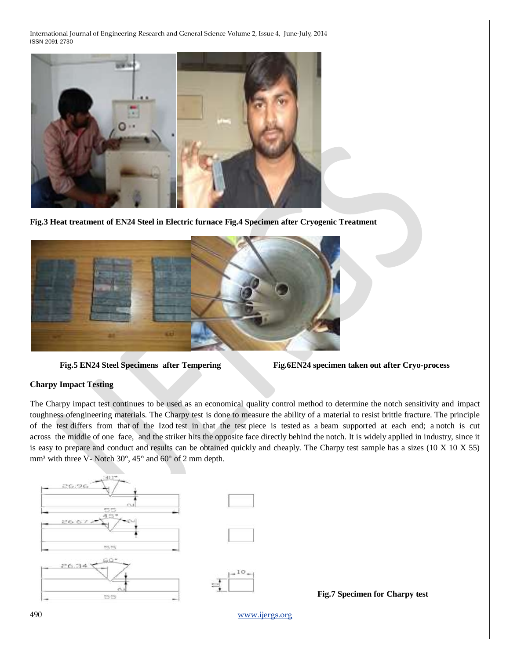

**Fig.3 Heat treatment of EN24 Steel in Electric furnace Fig.4 Specimen after Cryogenic Treatment**



**Fig.5 EN24 Steel Specimens after Tempering Fig.6EN24 specimen taken out after Cryo-process**

# **Charpy Impact Testing**

The Charpy impact test continues to be used as an economical quality control method to determine the notch sensitivity and impact toughness ofengineering materials. The Charpy test is done to measure the ability of a material to resist brittle fracture. The principle of the test differs from that of the Izod test in that the test piece is tested as a beam supported at each end; a notch is cut across the middle of one face, and the striker hits the opposite face directly behind the notch. It is widely applied in industry, since it is easy to prepare and conduct and results can be obtained quickly and cheaply. The Charpy test sample has a sizes (10 X 10 X 55) mm<sup>3</sup> with three V- Notch 30 $^{\circ}$ , 45 $^{\circ}$  and 60 $^{\circ}$  of 2 mm depth.

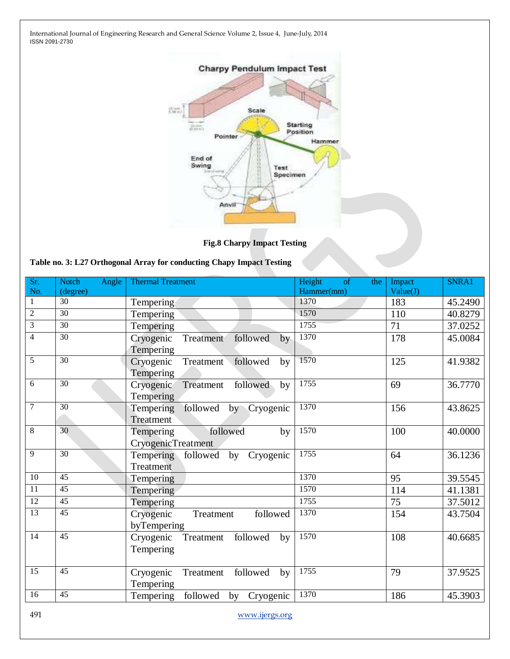

**Fig.8 Charpy Impact Testing**

| Table no. 3: L27 Orthogonal Array for conducting Chapy Impact Testing |  |  |  |  |  |
|-----------------------------------------------------------------------|--|--|--|--|--|
|-----------------------------------------------------------------------|--|--|--|--|--|

| Sr.<br>No.      | <b>Notch</b><br>Angle<br>(degree) | <b>Thermal Treatment</b>                              | Height<br><sub>of</sub><br>the<br>Hammer(mm) | Impact<br>Value(J) | SNRA1   |
|-----------------|-----------------------------------|-------------------------------------------------------|----------------------------------------------|--------------------|---------|
| 1               | 30                                | Tempering                                             | 1370                                         | 183                | 45.2490 |
| $\overline{2}$  | $\overline{30}$                   | Tempering                                             | 1570                                         | 110                | 40.8279 |
| 3               | 30                                | Tempering                                             | 1755                                         | 71                 | 37.0252 |
| $\overline{4}$  | 30                                | Cryogenic<br>Treatment<br>followed<br>by<br>Tempering | 1370                                         | 178                | 45.0084 |
| 5               | $\overline{30}$                   | Treatment followed<br>Cryogenic<br>by<br>Tempering    | 1570                                         | 125                | 41.9382 |
| 6               | $\overline{30}$                   | Treatment<br>followed<br>Cryogenic<br>by<br>Tempering | 1755                                         | 69                 | 36.7770 |
| $\overline{7}$  | 30                                | followed<br>by Cryogenic<br>Tempering<br>Treatment    | 1370                                         | 156                | 43.8625 |
| 8               | 30                                | followed<br>Tempering<br>by<br>CryogenicTreatment     | 1570                                         | 100                | 40.0000 |
| 9               | 30                                | Tempering followed by Cryogenic<br>Treatment          | 1755                                         | 64                 | 36.1236 |
| $\overline{10}$ | 45                                | Tempering                                             | 1370                                         | 95                 | 39.5545 |
| 11              | 45                                | Tempering                                             | 1570                                         | 114                | 41.1381 |
| 12              | $\overline{45}$                   | Tempering                                             | 1755                                         | 75                 | 37.5012 |
| 13              | 45                                | followed<br>Cryogenic<br>Treatment<br>byTempering     | 1370                                         | 154                | 43.7504 |
| $\overline{14}$ | 45                                | Cryogenic<br>followed<br>Treatment<br>by<br>Tempering | 1570                                         | 108                | 40.6685 |
| $\overline{15}$ | $\overline{45}$                   | Cryogenic<br>followed<br>Treatment<br>by<br>Tempering | 1755                                         | 79                 | 37.9525 |
| 16              | 45                                | followed<br>Tempering<br>Cryogenic<br>by              | 1370                                         | 186                | 45.3903 |

491 [www.ijergs.org](http://www.ijergs.org/)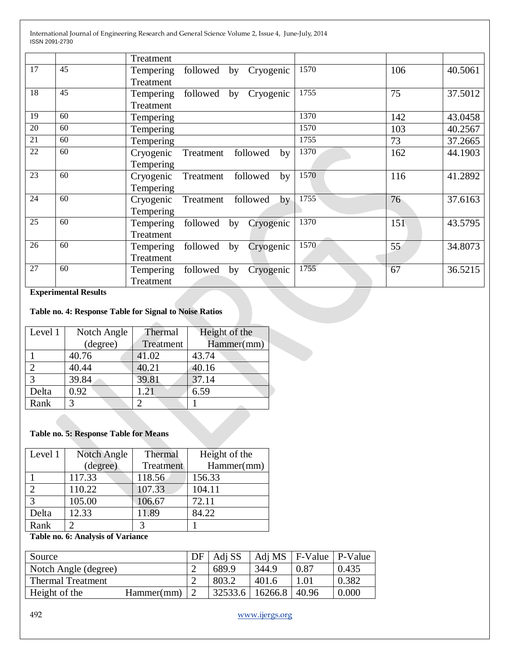|    |    | Treatment                                |      |                 |         |
|----|----|------------------------------------------|------|-----------------|---------|
| 17 | 45 | followed by<br>Tempering<br>Cryogenic    | 1570 | 106             | 40.5061 |
|    |    | Treatment                                |      |                 |         |
| 18 | 45 | Tempering<br>followed<br>by<br>Cryogenic | 1755 | 75              | 37.5012 |
|    |    | Treatment                                |      |                 |         |
| 19 | 60 | Tempering                                | 1370 | 142             | 43.0458 |
| 20 | 60 | Tempering                                | 1570 | 103             | 40.2567 |
| 21 | 60 | Tempering                                | 1755 | 73              | 37.2665 |
| 22 | 60 | followed<br>Treatment<br>Cryogenic<br>by | 1370 | 162             | 44.1903 |
|    |    | Tempering                                |      |                 |         |
| 23 | 60 | followed<br>Cryogenic<br>Treatment<br>by | 1570 | 116             | 41.2892 |
|    |    | Tempering                                |      |                 |         |
| 24 | 60 | followed<br>Treatment<br>Cryogenic<br>by | 1755 | 76              | 37.6163 |
|    |    | Tempering                                |      |                 |         |
| 25 | 60 | followed<br>Cryogenic<br>Tempering<br>by | 1370 | 15 <sub>1</sub> | 43.5795 |
|    |    | Treatment                                |      |                 |         |
| 26 | 60 | followed<br>by<br>Cryogenic<br>Tempering | 1570 | 55              | 34.8073 |
|    |    | Treatment                                |      |                 |         |
| 27 | 60 | followed<br>by<br>Cryogenic<br>Tempering | 1755 | 67              | 36.5215 |
|    |    | Treatment                                |      |                 |         |

## **Experimental Results**

# **Table no. 4: Response Table for Signal to Noise Ratios**

| Level 1 | Notch Angle | Thermal   | Height of the |
|---------|-------------|-----------|---------------|
|         | (degree)    | Treatment | Hammer(mm)    |
|         | 40.76       | 41.02     | 43.74         |
|         | 40.44       | 40.21     | 40.16         |
| 3       | 39.84       | 39.81     | 37.14         |
| Delta   | 0.92        | $+2$      | 6.59          |
| Rank    |             |           |               |

## **Table no. 5: Response Table for Means**

| Level 1 | Notch Angle | Thermal   | Height of the |
|---------|-------------|-----------|---------------|
|         | (degree)    | Treatment | Hammer(mm)    |
|         | 117.33      | 118.56    | 156.33        |
|         | 110.22      | 107.33    | 104.11        |
|         | 105.00      | 106.67    | 72.11         |
| Delta   | 12.33       | 11.89     | 84.22         |
| Rank    | 2           | 3         |               |

# **Table no. 6: Analysis of Variance**

| Source               |            | . DF | Adi SS  | Adj MS  | F-Value | P-Value |
|----------------------|------------|------|---------|---------|---------|---------|
| Notch Angle (degree) |            |      | 689.9   | 344.9   | 0.87    | 0.435   |
| Thermal Treatment    |            |      | 803.2   | 401.6   |         | 0.382   |
| Height of the        | Hammer(mm) |      | 32533.6 | 16266.8 | 40.96   | 0.000   |

492 [www.ijergs.org](http://www.ijergs.org/)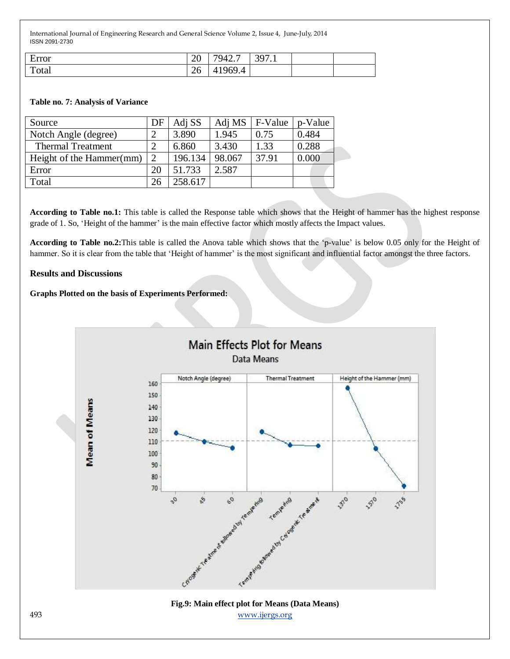| $\blacksquare$<br>Error | 20 | 7942.7            | 397<br>$\sqrt{1}$<br>ັ |  |
|-------------------------|----|-------------------|------------------------|--|
| $\mathbf{r}$<br>Total   | 26 | 969.4<br>$\prime$ |                        |  |

#### **Table no. 7: Analysis of Variance**

| Source                   | DF             | Adj SS  | Adj MS | F-Value | p-Value |
|--------------------------|----------------|---------|--------|---------|---------|
| Notch Angle (degree)     | 2              | 3.890   | 1.945  | 0.75    | 0.484   |
| <b>Thermal Treatment</b> | 2              | 6.860   | 3.430  | 1.33    | 0.288   |
| Height of the Hammer(mm) | $\overline{2}$ | 196.134 | 98.067 | 37.91   | 0.000   |
| Error                    | 20             | 51.733  | 2.587  |         |         |
| Total                    | 26             | 258.617 |        |         |         |

**According to Table no.1:** This table is called the Response table which shows that the Height of hammer has the highest response grade of 1. So, 'Height of the hammer' is the main effective factor which mostly affects the Impact values.

According to Table no.2: This table is called the Anova table which shows that the 'p-value' is below 0.05 only for the Height of hammer. So it is clear from the table that 'Height of hammer' is the most significant and influential factor amongst the three factors.

#### **Results and Discussions**

#### **Graphs Plotted on the basis of Experiments Performed:**

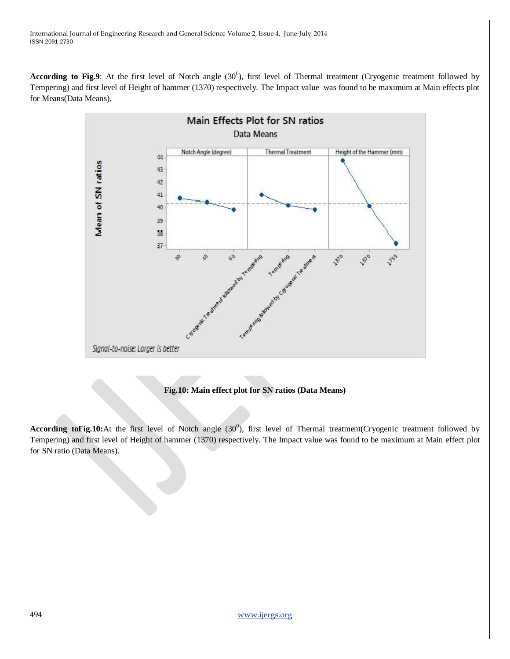**According to Fig.9**: At the first level of Notch angle  $(30^0)$ , first level of Thermal treatment (Cryogenic treatment followed by Tempering) and first level of Height of hammer (1370) respectively. The Impact value was found to be maximum at Main effects plot for Means(Data Means).



# **Fig.10: Main effect plot for SN ratios (Data Means)**

According toFig.10:At the first level of Notch angle (30<sup>0</sup>), first level of Thermal treatment(Cryogenic treatment followed by Tempering) and first level of Height of hammer (1370) respectively. The Impact value was found to be maximum at Main effect plot for SN ratio (Data Means).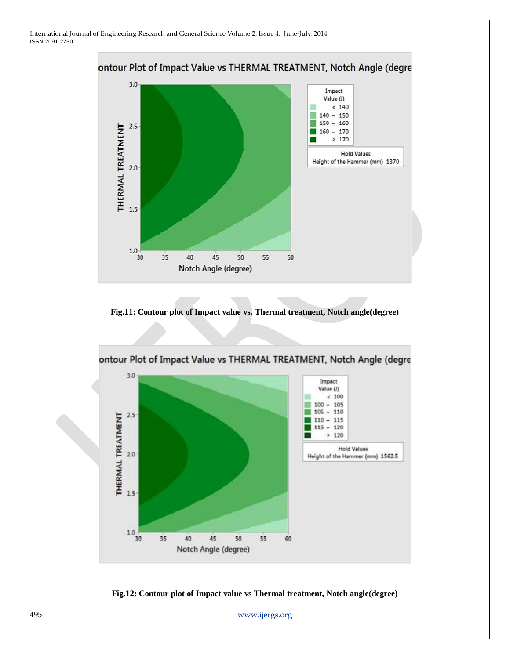

**Fig.11: Contour plot of Impact value vs. Thermal treatment, Notch angle(degree)**





495 [www.ijergs.org](http://www.ijergs.org/)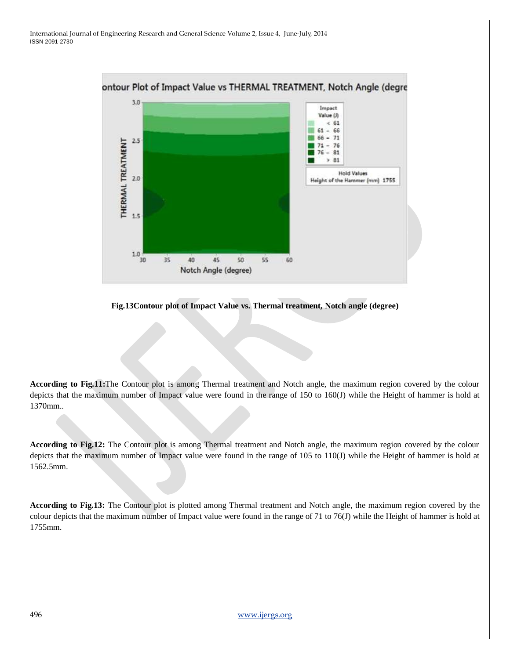

**Fig.13Contour plot of Impact Value vs. Thermal treatment, Notch angle (degree)**

**According to Fig.11:**The Contour plot is among Thermal treatment and Notch angle, the maximum region covered by the colour depicts that the maximum number of Impact value were found in the range of 150 to 160(J) while the Height of hammer is hold at 1370mm..

**According to Fig.12:** The Contour plot is among Thermal treatment and Notch angle, the maximum region covered by the colour depicts that the maximum number of Impact value were found in the range of 105 to 110(J) while the Height of hammer is hold at 1562.5mm.

**According to Fig.13:** The Contour plot is plotted among Thermal treatment and Notch angle, the maximum region covered by the colour depicts that the maximum number of Impact value were found in the range of 71 to 76(J) while the Height of hammer is hold at 1755mm.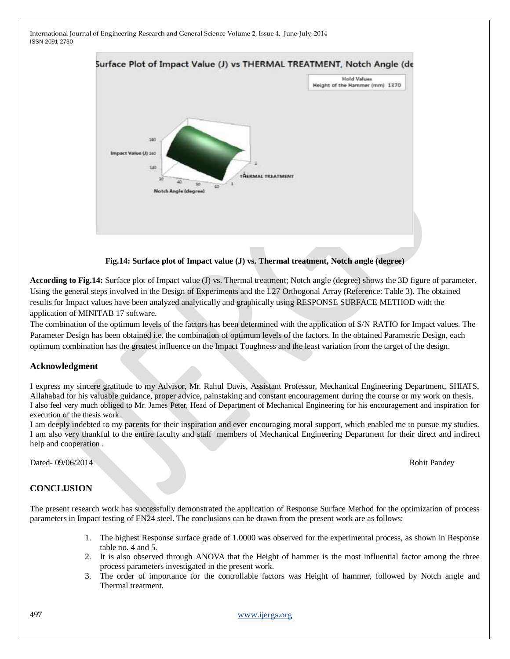

**Fig.14: Surface plot of Impact value (J) vs. Thermal treatment, Notch angle (degree)**

**According to Fig.14:** Surface plot of Impact value (J) vs. Thermal treatment; Notch angle (degree) shows the 3D figure of parameter. Using the general steps involved in the Design of Experiments and the L27 Orthogonal Array (Reference: Table 3). The obtained results for Impact values have been analyzed analytically and graphically using RESPONSE SURFACE METHOD with the application of MINITAB 17 software.

The combination of the optimum levels of the factors has been determined with the application of S/N RATIO for Impact values. The Parameter Design has been obtained i.e. the combination of optimum levels of the factors. In the obtained Parametric Design, each optimum combination has the greatest influence on the Impact Toughness and the least variation from the target of the design.

# **Acknowledgment**

I express my sincere gratitude to my Advisor, Mr. Rahul Davis, Assistant Professor, Mechanical Engineering Department, SHIATS, Allahabad for his valuable guidance, proper advice, painstaking and constant encouragement during the course or my work on thesis. I also feel very much obliged to Mr. James Peter, Head of Department of Mechanical Engineering for his encouragement and inspiration for execution of the thesis work.

I am deeply indebted to my parents for their inspiration and ever encouraging moral support, which enabled me to pursue my studies. I am also very thankful to the entire faculty and staff members of Mechanical Engineering Department for their direct and indirect help and cooperation .

Dated- 09/06/2014 Rohit Pandey

# **CONCLUSION**

The present research work has successfully demonstrated the application of Response Surface Method for the optimization of process parameters in Impact testing of EN24 steel. The conclusions can be drawn from the present work are as follows:

- 1. The highest Response surface grade of 1.0000 was observed for the experimental process, as shown in Response table no. 4 and 5.
- 2. It is also observed through ANOVA that the Height of hammer is the most influential factor among the three process parameters investigated in the present work.
- 3. The order of importance for the controllable factors was Height of hammer, followed by Notch angle and Thermal treatment.